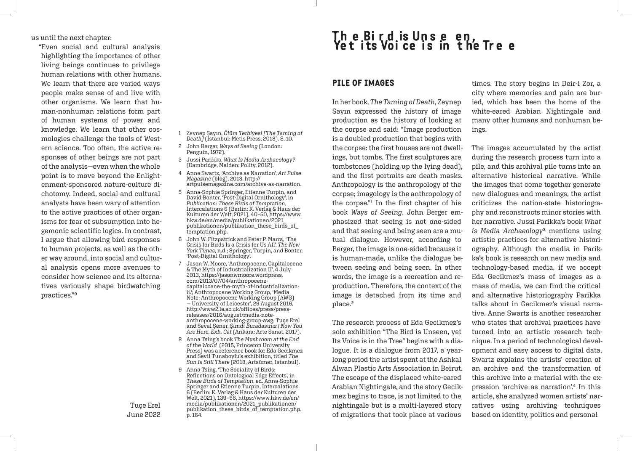us until the next chapter:

"Even social and cultural analysis highlighting the importance of other living beings continues to privilege human relations with other humans. We learn that there are varied ways people make sense of and live with other organisms. We learn that human-nonhuman relations form part of human systems of power and knowledge. We learn that other cosmologies challenge the tools of Western science. Too often, the active responses of other beings are not part of the analysis—even when the whole point is to move beyond the Enlightenment-sponsored nature-culture dichotomy. Indeed, social and cultural analysts have been wary of attention to the active practices of other organisms for fear of subsumption into hegemonic scientific logics. In contrast, I argue that allowing bird responses to human projects, as well as the other way around, into social and cultural analysis opens more avenues to consider how science and its alternatives variously shape birdwatching practices."9

> Tuçe Erel June 2022

## The Bird is Unseen,<br>Yet its Voice is in the Tree

## PILE OF IMAGES

1 Zeynep Sayın, *Ölüm Terbiyesi [The Taming of Death]* (İstanbul: Metis Press, 2018). S. 10. 2 John Berger, *Ways of Seeing* (London:

3 Jussi Parikka, *What Is Media Archaeology?* (Cambridge, Malden: Polity, 2012). 4 Anne Swartz, 'Archive as Narration', *Art Pulse* 

6 John W. Fitzpatrick and Peter P. Marra, 'The Crisis for Birds Is a Crisis for Us All', *The New York Times*, n.d.; Springer, Turpin, and Bonter,

7 Jason W. Moore, 'Anthropocene, Capitalocene & The Myth of Industrialization II', 4 July 2013, https://jasonwmoore.wordpress. com/2013/07/04/anthropocene-

capitalocene-the-myth-of-industrializationii/; Anthropocene Working Group, 'Media Note: Anthropocene Working Group (AWG) — University of Leicester', 29 August 2016, http://www2.le.ac.uk/offices/press/pressreleases/2016/august/media-note-

anthropocene-working-group-awg; Tuçe Erel and Seval Şener, *Şimdi Buradasınız | Now You Are Here, Exh. Cat* (Ankara: Arte Sanat, 2017). 8 Anna Tsing's book *The Mushroom at the End of the World* (2015, Princeton University Press) was a reference book for Eda Gecikmez and Sevil Tunaboylu's exhibition, titled *The Sun Is Still There* (2018, Artsümer, Istanbul).

Reflections on Ontological Edge Effects', in *These Birds of Temptation*, ed. Anna-Sophie Springer and Etienne Turpin, Intercalations 6 (Berlin: K. Verlag & Haus der Kulturen der Welt, 2021), 139–66, https://www.hkw.de/en/ media/publikationen/2021\_publikationen/ publikation these birds of temptation.php.

9 Anna Tsing, 'The Sociality of Birds:

p. 164.

artpulsemagazine.com/archive-as-narration. 5 Anna-Sophie Springer, Etienne Turpin, and David Bonter, 'Post-Digital Ornithology', in *Publication: These Birds of Temptation*, Intercalations 6 (Berlin: K. Verlag & Haus der Kulturen der Welt, 2021), 40–50, https://www. hkw.de/en/media/publikationen/2021\_ publikationen/publikation\_these\_birds\_of\_

*Magazine* (blog), 2013, http://

Penguin, 1972).

temptation.php.

'Post-Digital Ornithology'.

In her book, *The Taming of Death*, Zeynep Sayın expressed the history of image production as the history of looking at the corpse and said: "Image production is a doubled production that begins with the corpse: the first houses are not dwellings, but tombs. The first sculptures are tombstones (holding up the lying dead), and the first portraits are death masks. Anthropology is the anthropology of the corpse; imagology is the anthropology of the corpse."1 In the first chapter of his book *Ways of Seeing*, John Berger emphasized that seeing is not one-sided and that seeing and being seen are a mutual dialogue. However, according to Berger, the image is one-sided because it is human-made, unlike the dialogue between seeing and being seen. In other words, the image is a recreation and reproduction. Therefore, the context of the image is detached from its time and place.<sup>2</sup>

The research process of Eda Gecikmez's solo exhibition "The Bird is Unseen, yet Its Voice is in the Tree" begins with a dialogue. It is a dialogue from 2017, a yearlong period the artist spent at the Ashkal Alwan Plastic Arts Association in Beirut. The escape of the displaced white-eared Arabian Nightingale, and the story Gecikmez begins to trace, is not limited to the nightingale but is a multi-layered story of migrations that took place at various

times. The story begins in Deir-i Zor, a city where memories and pain are buried, which has been the home of the white-eared Arabian Nightingale and many other humans and nonhuman beings.

The images accumulated by the artist during the research process turn into a pile, and this archival pile turns into an alternative historical narrative. While the images that come together generate new dialogues and meanings, the artist criticizes the nation-state historiography and reconstructs minor stories with her narrative. Jussi Parikka's book *What is Media Archaeology*3 mentions using artistic practices for alternative historiography. Although the media in Parikka's book is research on new media and technology-based media, if we accept Eda Gecikmez's mass of images as a mass of media, we can find the critical and alternative historiography Parikka talks about in Gecikmez's visual narrative. Anne Swartz is another researcher who states that archival practices have turned into an artistic research technique. In a period of technological development and easy access to digital data, Swartz explains the artists' creation of an archive and the transformation of this archive into a material with the expression 'archive as narration'.4 In this article, she analyzed women artists' narratives using archiving techniques based on identity, politics and personal